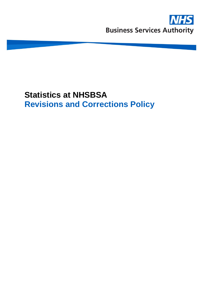

# **Statistics at NHSBSA Revisions and Corrections Policy**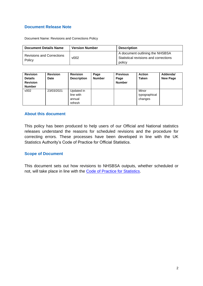### **Document Release Note**

Document Name: Revisions and Corrections Policy

| <b>Document Details Name</b>               | <b>Version Number</b> | <b>Description</b>                                                                 |
|--------------------------------------------|-----------------------|------------------------------------------------------------------------------------|
| <b>Revisions and Corrections</b><br>Policy | v <sub>002</sub>      | A document outlining the NHSBSA<br>Statistical revisions and corrections<br>policy |

| <b>Revision</b><br><b>Details</b><br><b>Revision</b><br><b>Number</b> | <b>Revision</b><br>Date | <b>Revision</b><br><b>Description</b>        | Page<br><b>Number</b> | <b>Previous</b><br>Page<br><b>Number</b> | <b>Action</b><br>Taken            | Addenda/<br><b>New Page</b> |
|-----------------------------------------------------------------------|-------------------------|----------------------------------------------|-----------------------|------------------------------------------|-----------------------------------|-----------------------------|
| v002                                                                  | 23/03/2021              | Updated in<br>line with<br>annual<br>refresh |                       |                                          | Minor<br>typographical<br>changes |                             |

### **About this document**

This policy has been produced to help users of our Official and National statistics releases understand the reasons for scheduled revisions and the procedure for correcting errors. These processes have been developed in line with the UK Statistics Authority's Code of Practice for Official Statistics.

### **Scope of Document**

This document sets out how revisions to NHSBSA outputs, whether scheduled or not, will take place in line with the [Code of Practice for Statistics.](https://www.statisticsauthority.gov.uk/code-of-practice/the-code/)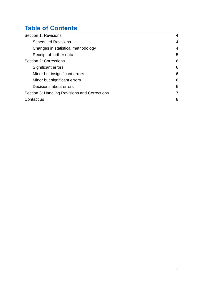## **Table of Contents**

| Section 1: Revisions                          | 4 |  |
|-----------------------------------------------|---|--|
| <b>Scheduled Revisions</b>                    | 4 |  |
| Changes in statistical methodology            | 4 |  |
| Receipt of further data                       | 5 |  |
| Section 2: Corrections                        | 6 |  |
| Significant errors                            | 6 |  |
| Minor but insignificant errors                | 6 |  |
| Minor but significant errors                  | 6 |  |
| Decisions about errors                        | 6 |  |
| Section 3: Handling Revisions and Corrections |   |  |
| Contact us                                    | 8 |  |
|                                               |   |  |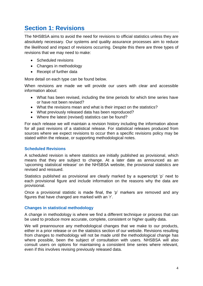### <span id="page-3-0"></span>**Section 1: Revisions**

The NHSBSA aims to avoid the need for revisions to official statistics unless they are absolutely necessary. Our systems and quality assurance processes aim to reduce the likelihood and impact of revisions occurring. Despite this there are three types of revisions that we may need to make:

- Scheduled revisions
- Changes in methodology
- Receipt of further data

More detail on each type can be found below.

When revisions are made we will provide our users with clear and accessible information about:

- What has been revised, including the time periods for which time series have or have not been revised?
- What the revisions mean and what is their impact on the statistics?
- What previously released data has been reproduced?
- Where the latest (revised) statistics can be found?

For each release we will maintain a revision history including the information above for all past revisions of a statistical release. For statistical releases produced from sources where we expect revisions to occur then a specific revisions policy may be stated within the release, or supporting methodological notes.

### <span id="page-3-1"></span>**Scheduled Revisions**

A scheduled revision is where statistics are initially published as provisional, which means that they are subject to change. At a later date as announced as an 'upcoming statistical release' on the NHSBSA website, the provisional statistics are revised and reissued.

Statistics published as provisional are clearly marked by a superscript 'p' next to each provisional figure and include information on the reasons why the data are provisional.

Once a provisional statistic is made final, the 'p' markers are removed and any figures that have changed are marked with an 'r'.

### <span id="page-3-2"></span>**Changes in statistical methodology**

A change in methodology is where we find a different technique or process that can be used to produce more accurate, complete, consistent or higher quality data.

We will preannounce any methodological changes that we make to our products, either in a prior release or on the statistics section of our website. Revisions resulting from changes to methodology will not be made until the methodological change has where possible, been the subject of consultation with users. NHSBSA will also consult users on options for maintaining a consistent time series where relevant, even if this involves revising previously released data.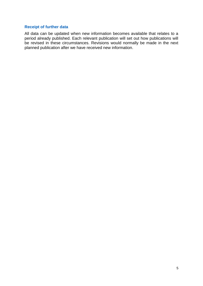### <span id="page-4-0"></span>**Receipt of further data**

All data can be updated when new information becomes available that relates to a period already published. Each relevant publication will set out how publications will be revised in these circumstances. Revisions would normally be made in the next planned publication after we have received new information.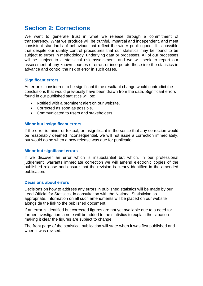### <span id="page-5-0"></span>**Section 2: Corrections**

We want to generate trust in what we release through a commitment of transparency. What we produce will be truthful, impartial and independent, and meet consistent standards of behaviour that reflect the wider public good. It is possible that despite our quality control procedures that our statistics may be found to be subject to errors in methodology, underlying data or processes. All of our processes will be subject to a statistical risk assessment, and we will seek to report our assessment of any known sources of error, or incorporate these into the statistics in advance and control the risk of error in such cases.

### <span id="page-5-1"></span>**Significant errors**

An error is considered to be significant if the resultant change would contradict the conclusions that would previously have been drawn from the data. Significant errors found in our published statistics will be:

- Notified with a prominent alert on our website.
- Corrected as soon as possible.
- Communicated to users and stakeholders.

### <span id="page-5-2"></span>**Minor but insignificant errors**

If the error is minor or textual, or insignificant in the sense that any correction would be reasonably deemed inconsequential, we will not issue a correction immediately, but would do so when a new release was due for publication.

### <span id="page-5-3"></span>**Minor but significant errors**

If we discover an error which is insubstantial but which, in our professional judgement, warrants immediate correction we will amend electronic copies of the published release and ensure that the revision is clearly identified in the amended publication.

### <span id="page-5-4"></span>**Decisions about errors**

Decisions on how to address any errors in published statistics will be made by our Lead Official for Statistics, in consultation with the National Statistician as appropriate. Information on all such amendments will be placed on our website alongside the link to the published document.

If an error is identified but corrected figures are not yet available due to a need for further investigation, a note will be added to the statistics to explain the situation making it clear the figures are subject to change.

The front page of the statistical publication will state when it was first published and when it was revised.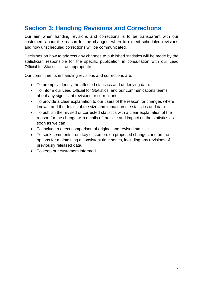### <span id="page-6-0"></span>**Section 3: Handling Revisions and Corrections**

Our aim when handing revisions and corrections is to be transparent with our customers about the reason for the changes, when to expect scheduled revisions and how unscheduled corrections will be communicated.

Decisions on how to address any changes to published statistics will be made by the statistician responsible for the specific publication in consultation with our Lead Official for Statistics – as appropriate.

Our commitments in handling revisions and corrections are:

- To promptly identify the affected statistics and underlying data.
- To inform our Lead Official for Statistics, and our communications teams about any significant revisions or corrections.
- To provide a clear explanation to our users of the reason for changes where known, and the details of the size and impact on the statistics and data.
- To publish the revised or corrected statistics with a clear explanation of the reason for the change with details of the size and impact on the statistics as soon as we can.
- To include a direct comparison of original and revised statistics.
- To seek comments from key customers on proposed changes and on the options for maintaining a consistent time series, including any revisions of previously released data.
- To keep our customers informed.